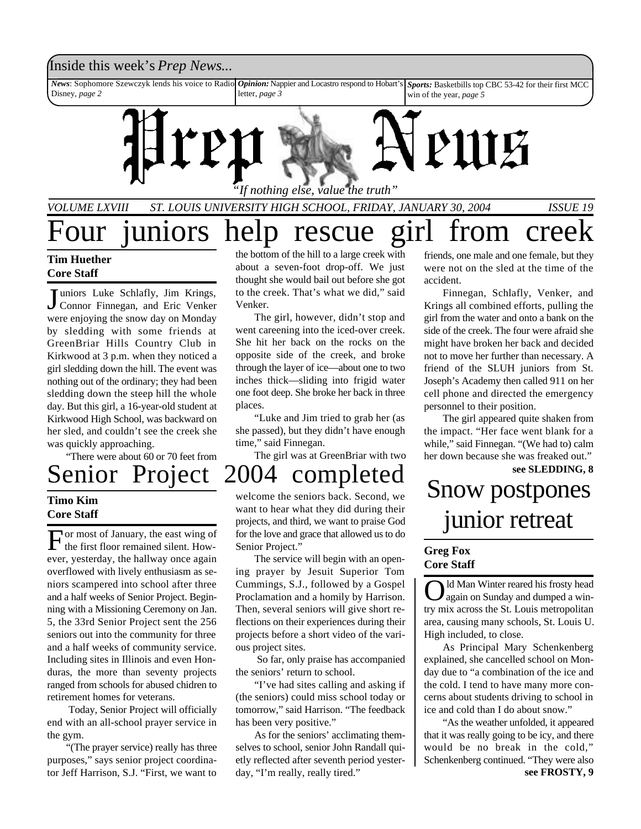## Inside this week's *Prep News*...

*News*: Sophomore Szewczyk lends his voice to Radio *Opinion:* Nappier and Locastro respond to Hobart's Disney, *page 2* letter, *page 3 Sports:* Basketbills top CBC 53-42 for their first MCC win of the year, *page 5*



*"If nothing else, value the truth"*

*VOLUME LXVIII ST. LOUIS UNIVERSITY HIGH SCHOOL, FRIDAY, JANUARY 30, 2004 ISSUE 19*

# Four juniors help rescue girl from creek

## **Tim Huether Core Staff**

Juniors Luke Schlafly, Jim Krings,<br>Connor Finnegan, and Eric Venker Connor Finnegan, and Eric Venker were enjoying the snow day on Monday by sledding with some friends at GreenBriar Hills Country Club in Kirkwood at 3 p.m. when they noticed a girl sledding down the hill. The event was nothing out of the ordinary; they had been sledding down the steep hill the whole day. But this girl, a 16-year-old student at Kirkwood High School, was backward on her sled, and couldn't see the creek she was quickly approaching.

"There were about 60 or 70 feet from

## **Timo Kim Core Staff**

For most of January, the east wing of<br>the first floor remained silent. Howor most of January, the east wing of ever, yesterday, the hallway once again overflowed with lively enthusiasm as seniors scampered into school after three and a half weeks of Senior Project. Beginning with a Missioning Ceremony on Jan. 5, the 33rd Senior Project sent the 256 seniors out into the community for three and a half weeks of community service. Including sites in Illinois and even Honduras, the more than seventy projects ranged from schools for abused chidren to retirement homes for veterans.

 Today, Senior Project will officially end with an all-school prayer service in the gym.

"(The prayer service) really has three purposes," says senior project coordinator Jeff Harrison, S.J. "First, we want to

the bottom of the hill to a large creek with about a seven-foot drop-off. We just thought she would bail out before she got to the creek. That's what we did," said Venker.

The girl, however, didn't stop and went careening into the iced-over creek. She hit her back on the rocks on the opposite side of the creek, and broke through the layer of ice—about one to two inches thick—sliding into frigid water one foot deep. She broke her back in three places.

"Luke and Jim tried to grab her (as she passed), but they didn't have enough time," said Finnegan.

The girl was at GreenBriar with two

# Senior Project 2004 completed see SLEDDING, 8<br>
Fine Kim Strum and Snow postpones

welcome the seniors back. Second, we want to hear what they did during their projects, and third, we want to praise God for the love and grace that allowed us to do Senior Project."

The service will begin with an opening prayer by Jesuit Superior Tom Cummings, S.J., followed by a Gospel Proclamation and a homily by Harrison. Then, several seniors will give short reflections on their experiences during their projects before a short video of the various project sites.

 So far, only praise has accompanied the seniors' return to school.

"I've had sites calling and asking if (the seniors) could miss school today or tomorrow," said Harrison. "The feedback has been very positive."

As for the seniors' acclimating themselves to school, senior John Randall quietly reflected after seventh period yesterday, "I'm really, really tired."

friends, one male and one female, but they were not on the sled at the time of the accident.

Finnegan, Schlafly, Venker, and Krings all combined efforts, pulling the girl from the water and onto a bank on the side of the creek. The four were afraid she might have broken her back and decided not to move her further than necessary. A friend of the SLUH juniors from St. Joseph's Academy then called 911 on her cell phone and directed the emergency personnel to their position.

The girl appeared quite shaken from the impact. "Her face went blank for a while," said Finnegan. "(We had to) calm her down because she was freaked out."

# junior retreat

## **Greg Fox Core Staff**

O ld Man Winter reared his frosty head again on Sunday and dumped a wintry mix across the St. Louis metropolitan area, causing many schools, St. Louis U. High included, to close.

As Principal Mary Schenkenberg explained, she cancelled school on Monday due to "a combination of the ice and the cold. I tend to have many more concerns about students driving to school in ice and cold than I do about snow."

**see FROSTY, 9** "As the weather unfolded, it appeared that it was really going to be icy, and there would be no break in the cold," Schenkenberg continued. "They were also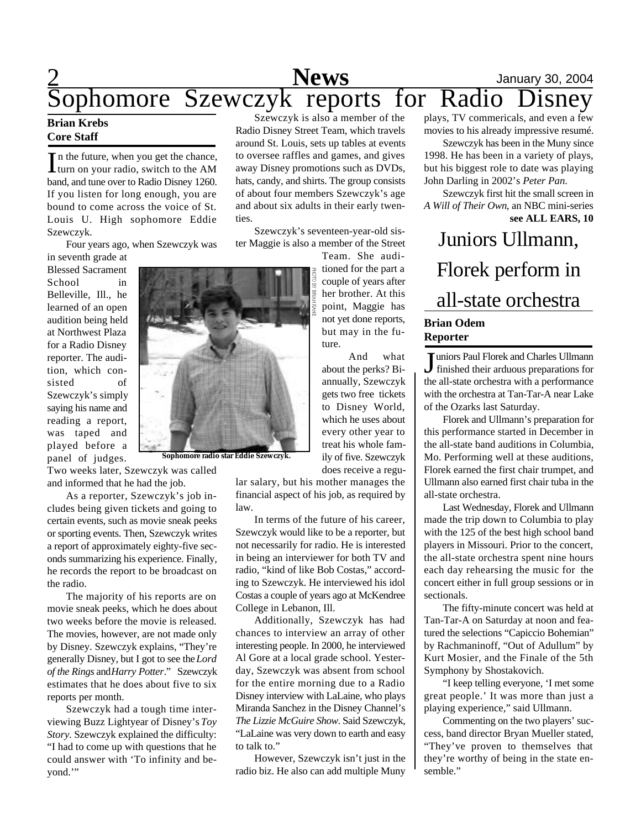# $\frac{2}{\approx}$  **News** January 30, 2004 Sophomore Szewczyk reports for Radio Disney

## **Brian Krebs Core Staff**

In the future, when you get the chance,<br>turn on your radio, switch to the AM turn on your radio, switch to the AM band, and tune over to Radio Disney 1260. If you listen for long enough, you are bound to come across the voice of St. Louis U. High sophomore Eddie Szewczyk.

Four years ago, when Szewczyk was

in seventh grade at Blessed Sacrament School in Belleville, Ill., he learned of an open audition being held at Northwest Plaza for a Radio Disney reporter. The audition, which consisted of Szewczyk's simply saying his name and reading a report, was taped and played before a panel of judges.

Two weeks later, Szewczyk was called and informed that he had the job.

As a reporter, Szewczyk's job includes being given tickets and going to certain events, such as movie sneak peeks or sporting events. Then, Szewczyk writes a report of approximately eighty-five seconds summarizing his experience. Finally, he records the report to be broadcast on the radio.

The majority of his reports are on movie sneak peeks, which he does about two weeks before the movie is released. The movies, however, are not made only by Disney. Szewczyk explains, "They're generally Disney, but I got to see the *Lord of the Rings* and *Harry Potter*." Szewczyk estimates that he does about five to six reports per month.

Szewczyk had a tough time interviewing Buzz Lightyear of Disney's *Toy Story*. Szewczyk explained the difficulty: "I had to come up with questions that he could answer with 'To infinity and beyond."

Szewczyk is also a member of the Radio Disney Street Team, which travels around St. Louis, sets up tables at events to oversee raffles and games, and gives away Disney promotions such as DVDs, hats, candy, and shirts. The group consists of about four members Szewczyk's age and about six adults in their early twenties.

Szewczyk's seventeen-year-old sister Maggie is also a member of the Street

Team. She auditioned for the part a couple of years after her brother. At this point, Maggie has not yet done reports, but may in the future.

And what about the perks? Biannually, Szewczyk gets two free tickets to Disney World, which he uses about every other year to treat his whole family of five. Szewczyk does receive a regu-

lar salary, but his mother manages the financial aspect of his job, as required by

In terms of the future of his career, Szewczyk would like to be a reporter, but not necessarily for radio. He is interested in being an interviewer for both TV and radio, "kind of like Bob Costas," according to Szewczyk. He interviewed his idol Costas a couple of years ago at McKendree College in Lebanon, Ill.

Additionally, Szewczyk has had chances to interview an array of other interesting people. In 2000, he interviewed Al Gore at a local grade school. Yesterday, Szewczyk was absent from school for the entire morning due to a Radio Disney interview with LaLaine, who plays Miranda Sanchez in the Disney Channel's *The Lizzie McGuire Show*. Said Szewczyk, "LaLaine was very down to earth and easy to talk to."

However, Szewczyk isn't just in the radio biz. He also can add multiple Muny

plays, TV commericals, and even a few movies to his already impressive resumé.

Szewczyk has been in the Muny since 1998. He has been in a variety of plays, but his biggest role to date was playing John Darling in 2002's *Peter Pan*.

Szewczyk first hit the small screen in *A Will of Their Own*, an NBC mini-series **see ALL EARS, 10**

# Juniors Ullmann, Florek perform in all-state orchestra **Brian Odem Reporter**

J finished their arduous preparations for uniors Paul Florek and Charles Ullmann the all-state orchestra with a performance with the orchestra at Tan-Tar-A near Lake of the Ozarks last Saturday.

Florek and Ullmann's preparation for this performance started in December in the all-state band auditions in Columbia, Mo. Performing well at these auditions, Florek earned the first chair trumpet, and Ullmann also earned first chair tuba in the all-state orchestra.

Last Wednesday, Florek and Ullmann made the trip down to Columbia to play with the 125 of the best high school band players in Missouri. Prior to the concert, the all-state orchestra spent nine hours each day rehearsing the music for the concert either in full group sessions or in sectionals.

The fifty-minute concert was held at Tan-Tar-A on Saturday at noon and featured the selections "Capiccio Bohemian" by Rachmaninoff, "Out of Adullum" by Kurt Mosier, and the Finale of the 5th Symphony by Shostakovich.

"I keep telling everyone, 'I met some great people.' It was more than just a playing experience," said Ullmann.

Commenting on the two players' success, band director Bryan Mueller stated, "They've proven to themselves that they're worthy of being in the state ensemble."



law.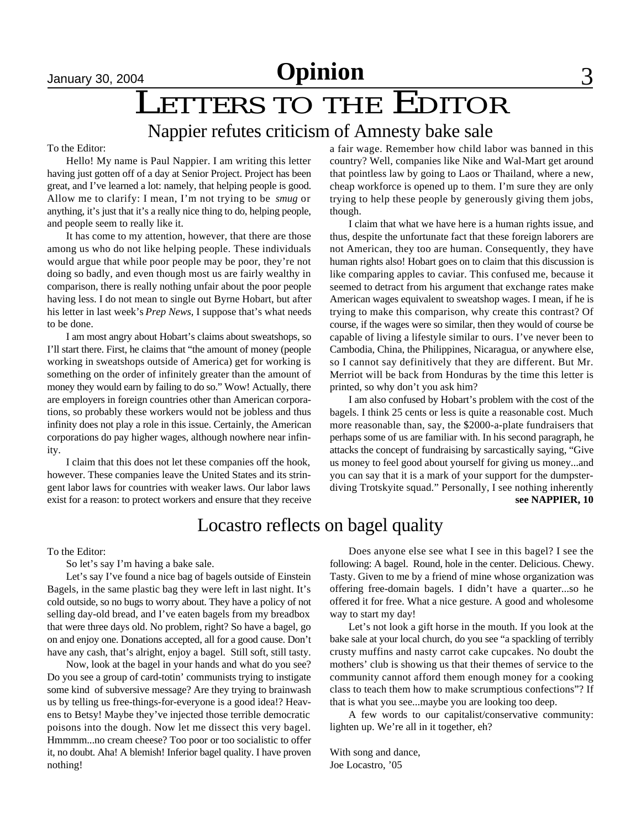# January 30, 2004<br> **LETTERS TO THE EDITOR**

# Nappier refutes criticism of Amnesty bake sale

#### To the Editor:

Hello! My name is Paul Nappier. I am writing this letter having just gotten off of a day at Senior Project. Project has been great, and I've learned a lot: namely, that helping people is good. Allow me to clarify: I mean, I'm not trying to be *smug* or anything, it's just that it's a really nice thing to do, helping people, and people seem to really like it.

It has come to my attention, however, that there are those among us who do not like helping people. These individuals would argue that while poor people may be poor, they're not doing so badly, and even though most us are fairly wealthy in comparison, there is really nothing unfair about the poor people having less. I do not mean to single out Byrne Hobart, but after his letter in last week's *Prep News*, I suppose that's what needs to be done.

I am most angry about Hobart's claims about sweatshops, so I'll start there. First, he claims that "the amount of money (people working in sweatshops outside of America) get for working is something on the order of infinitely greater than the amount of money they would earn by failing to do so." Wow! Actually, there are employers in foreign countries other than American corporations, so probably these workers would not be jobless and thus infinity does not play a role in this issue. Certainly, the American corporations do pay higher wages, although nowhere near infinity.

I claim that this does not let these companies off the hook, however. These companies leave the United States and its stringent labor laws for countries with weaker laws. Our labor laws exist for a reason: to protect workers and ensure that they receive a fair wage. Remember how child labor was banned in this country? Well, companies like Nike and Wal-Mart get around that pointless law by going to Laos or Thailand, where a new, cheap workforce is opened up to them. I'm sure they are only trying to help these people by generously giving them jobs, though.

I claim that what we have here is a human rights issue, and thus, despite the unfortunate fact that these foreign laborers are not American, they too are human. Consequently, they have human rights also! Hobart goes on to claim that this discussion is like comparing apples to caviar. This confused me, because it seemed to detract from his argument that exchange rates make American wages equivalent to sweatshop wages. I mean, if he is trying to make this comparison, why create this contrast? Of course, if the wages were so similar, then they would of course be capable of living a lifestyle similar to ours. I've never been to Cambodia, China, the Philippines, Nicaragua, or anywhere else, so I cannot say definitively that they are different. But Mr. Merriot will be back from Honduras by the time this letter is printed, so why don't you ask him?

**see NAPPIER, 10** I am also confused by Hobart's problem with the cost of the bagels. I think 25 cents or less is quite a reasonable cost. Much more reasonable than, say, the \$2000-a-plate fundraisers that perhaps some of us are familiar with. In his second paragraph, he attacks the concept of fundraising by sarcastically saying, "Give us money to feel good about yourself for giving us money...and you can say that it is a mark of your support for the dumpsterdiving Trotskyite squad." Personally, I see nothing inherently

# Locastro reflects on bagel quality

#### To the Editor:

So let's say I'm having a bake sale.

Let's say I've found a nice bag of bagels outside of Einstein Bagels, in the same plastic bag they were left in last night. It's cold outside, so no bugs to worry about. They have a policy of not selling day-old bread, and I've eaten bagels from my breadbox that were three days old. No problem, right? So have a bagel, go on and enjoy one. Donations accepted, all for a good cause. Don't have any cash, that's alright, enjoy a bagel. Still soft, still tasty.

Now, look at the bagel in your hands and what do you see? Do you see a group of card-totin' communists trying to instigate some kind of subversive message? Are they trying to brainwash us by telling us free-things-for-everyone is a good idea!? Heavens to Betsy! Maybe they've injected those terrible democratic poisons into the dough. Now let me dissect this very bagel. Hmmmm...no cream cheese? Too poor or too socialistic to offer it, no doubt. Aha! A blemish! Inferior bagel quality. I have proven nothing!

Does anyone else see what I see in this bagel? I see the following: A bagel. Round, hole in the center. Delicious. Chewy. Tasty. Given to me by a friend of mine whose organization was offering free-domain bagels. I didn't have a quarter...so he offered it for free. What a nice gesture. A good and wholesome way to start my day!

Let's not look a gift horse in the mouth. If you look at the bake sale at your local church, do you see "a spackling of terribly crusty muffins and nasty carrot cake cupcakes. No doubt the mothers' club is showing us that their themes of service to the community cannot afford them enough money for a cooking class to teach them how to make scrumptious confections"? If that is what you see...maybe you are looking too deep.

A few words to our capitalist/conservative community: lighten up. We're all in it together, eh?

With song and dance, Joe Locastro, '05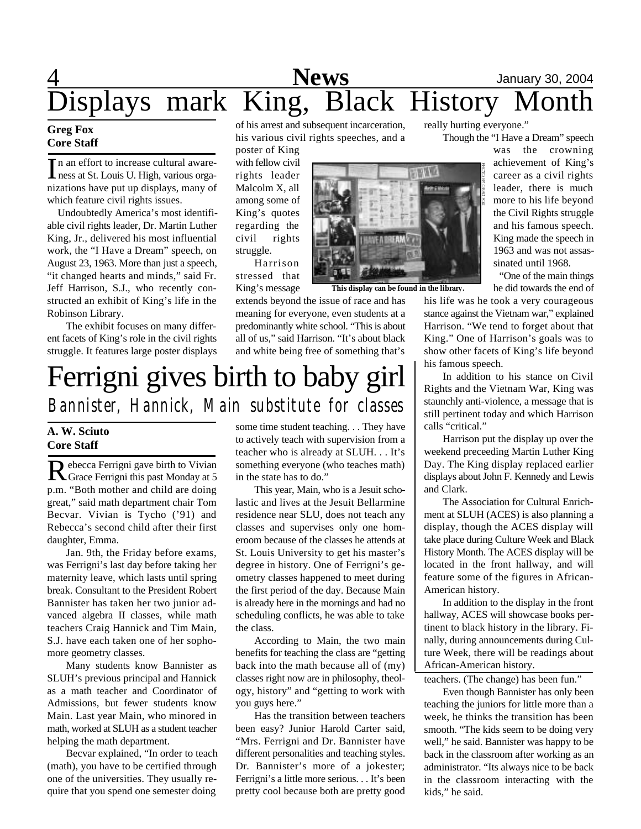# 4 **News** January 30, 2004 Displays mark King, Black History Month

## **Greg Fox Core Staff**

In an effort to increase cultural aware-<br>ness at St. Louis U. High, various orga-In an effort to increase cultural awarenizations have put up displays, many of which feature civil rights issues.

Undoubtedly America's most identifiable civil rights leader, Dr. Martin Luther King, Jr., delivered his most influential work, the "I Have a Dream" speech, on August 23, 1963. More than just a speech, "it changed hearts and minds," said Fr. Jeff Harrison, S.J., who recently constructed an exhibit of King's life in the Robinson Library.

The exhibit focuses on many different facets of King's role in the civil rights struggle. It features large poster displays of his arrest and subsequent incarceration, his various civil rights speeches, and a

poster of King with fellow civil rights leader Malcolm X, all among some of King's quotes regarding the civil rights struggle.

Harrison stressed that King's message

extends beyond the issue of race and has meaning for everyone, even students at a predominantly white school. "This is about all of us," said Harrison. "It's about black and white being free of something that's

# **CERTAINS**

**MA** 

**This display can be found in the library.**

really hurting everyone."

Though the "I Have a Dream" speech

was the crowning achievement of King's career as a civil rights leader, there is much more to his life beyond the Civil Rights struggle and his famous speech. King made the speech in 1963 and was not assassinated until 1968.

"One of the main things he did towards the end of

his life was he took a very courageous stance against the Vietnam war," explained Harrison. "We tend to forget about that King." One of Harrison's goals was to show other facets of King's life beyond his famous speech.

In addition to his stance on Civil Rights and the Vietnam War, King was staunchly anti-violence, a message that is still pertinent today and which Harrison calls "critical."

Harrison put the display up over the weekend preceeding Martin Luther King Day. The King display replaced earlier displays about John F. Kennedy and Lewis and Clark.

The Association for Cultural Enrichment at SLUH (ACES) is also planning a display, though the ACES display will take place during Culture Week and Black History Month. The ACES display will be located in the front hallway, and will feature some of the figures in African-American history.

In addition to the display in the front hallway, ACES will showcase books pertinent to black history in the library. Finally, during announcements during Culture Week, there will be readings about African-American history.

teachers. (The change) has been fun."

Even though Bannister has only been teaching the juniors for little more than a week, he thinks the transition has been smooth. "The kids seem to be doing very well," he said. Bannister was happy to be back in the classroom after working as an administrator. "Its always nice to be back in the classroom interacting with the kids," he said.

# Ferrigni gives birth to baby girl *Bannister, Hannick, Main substitute for classes*

# **A. W. Sciuto Core Staff**

R ebecca Ferrigni gave birth to Vivian<br>Grace Ferrigni this past Monday at 5 ebecca Ferrigni gave birth to Vivian p.m. "Both mother and child are doing great," said math department chair Tom Becvar. Vivian is Tycho ('91) and Rebecca's second child after their first daughter, Emma.

Jan. 9th, the Friday before exams, was Ferrigni's last day before taking her maternity leave, which lasts until spring break. Consultant to the President Robert Bannister has taken her two junior advanced algebra II classes, while math teachers Craig Hannick and Tim Main, S.J. have each taken one of her sophomore geometry classes.

Many students know Bannister as SLUH's previous principal and Hannick as a math teacher and Coordinator of Admissions, but fewer students know Main. Last year Main, who minored in math, worked at SLUH as a student teacher helping the math department.

Becvar explained, "In order to teach (math), you have to be certified through one of the universities. They usually require that you spend one semester doing

some time student teaching. . . They have to actively teach with supervision from a teacher who is already at SLUH. . . It's something everyone (who teaches math) in the state has to do."

This year, Main, who is a Jesuit scholastic and lives at the Jesuit Bellarmine residence near SLU, does not teach any classes and supervises only one homeroom because of the classes he attends at St. Louis University to get his master's degree in history. One of Ferrigni's geometry classes happened to meet during the first period of the day. Because Main is already here in the mornings and had no scheduling conflicts, he was able to take the class.

According to Main, the two main benefits for teaching the class are "getting back into the math because all of (my) classes right now are in philosophy, theology, history" and "getting to work with you guys here."

Has the transition between teachers been easy? Junior Harold Carter said, "Mrs. Ferrigni and Dr. Bannister have different personalities and teaching styles. Dr. Bannister's more of a jokester; Ferrigni's a little more serious. . . It's been pretty cool because both are pretty good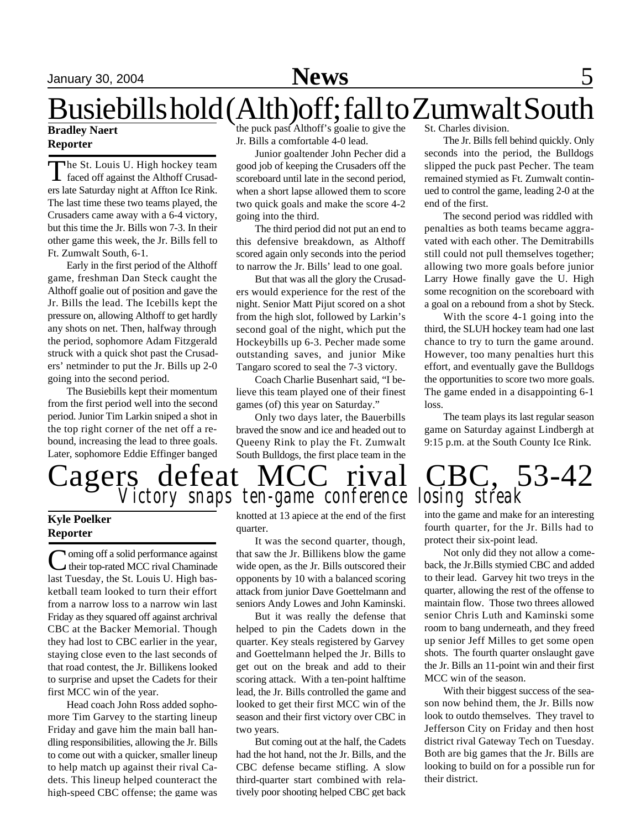# Busiebills hold (Alth)off; fall to Zumwalt South

## **Bradley Naert Reporter**

The St. Louis U. High hockey team<br>faced off against the Althoff Crusadhe St. Louis U. High hockey team ers late Saturday night at Affton Ice Rink. The last time these two teams played, the Crusaders came away with a 6-4 victory, but this time the Jr. Bills won 7-3. In their other game this week, the Jr. Bills fell to Ft. Zumwalt South, 6-1.

Early in the first period of the Althoff game, freshman Dan Steck caught the Althoff goalie out of position and gave the Jr. Bills the lead. The Icebills kept the pressure on, allowing Althoff to get hardly any shots on net. Then, halfway through the period, sophomore Adam Fitzgerald struck with a quick shot past the Crusaders' netminder to put the Jr. Bills up 2-0 going into the second period.

The Busiebills kept their momentum from the first period well into the second period. Junior Tim Larkin sniped a shot in the top right corner of the net off a rebound, increasing the lead to three goals. Later, sophomore Eddie Effinger banged

the puck past Althoff's goalie to give the Jr. Bills a comfortable 4-0 lead.

Junior goaltender John Pecher did a good job of keeping the Crusaders off the scoreboard until late in the second period, when a short lapse allowed them to score two quick goals and make the score 4-2 going into the third.

The third period did not put an end to this defensive breakdown, as Althoff scored again only seconds into the period to narrow the Jr. Bills' lead to one goal.

But that was all the glory the Crusaders would experience for the rest of the night. Senior Matt Pijut scored on a shot from the high slot, followed by Larkin's second goal of the night, which put the Hockeybills up 6-3. Pecher made some outstanding saves, and junior Mike Tangaro scored to seal the 7-3 victory.

Coach Charlie Busenhart said, "I believe this team played one of their finest games (of) this year on Saturday."

Only two days later, the Bauerbills braved the snow and ice and headed out to Queeny Rink to play the Ft. Zumwalt South Bulldogs, the first place team in the St. Charles division.

The Jr. Bills fell behind quickly. Only seconds into the period, the Bulldogs slipped the puck past Pecher. The team remained stymied as Ft. Zumwalt continued to control the game, leading 2-0 at the end of the first.

The second period was riddled with penalties as both teams became aggravated with each other. The Demitrabills still could not pull themselves together; allowing two more goals before junior Larry Howe finally gave the U. High some recognition on the scoreboard with a goal on a rebound from a shot by Steck.

With the score 4-1 going into the third, the SLUH hockey team had one last chance to try to turn the game around. However, too many penalties hurt this effort, and eventually gave the Bulldogs the opportunities to score two more goals. The game ended in a disappointing 6-1 loss.

The team plays its last regular season game on Saturday against Lindbergh at 9:15 p.m. at the South County Ice Rink.



# **Kyle Poelker Reporter**

Coming off a solid performance against<br>their top-rated MCC rival Chaminade oming off a solid performance against last Tuesday, the St. Louis U. High basketball team looked to turn their effort from a narrow loss to a narrow win last Friday as they squared off against archrival CBC at the Backer Memorial. Though they had lost to CBC earlier in the year, staying close even to the last seconds of that road contest, the Jr. Billikens looked to surprise and upset the Cadets for their first MCC win of the year.

Head coach John Ross added sophomore Tim Garvey to the starting lineup Friday and gave him the main ball handling responsibilities, allowing the Jr. Bills to come out with a quicker, smaller lineup to help match up against their rival Cadets. This lineup helped counteract the high-speed CBC offense; the game was

knotted at 13 apiece at the end of the first quarter.

It was the second quarter, though, that saw the Jr. Billikens blow the game wide open, as the Jr. Bills outscored their opponents by 10 with a balanced scoring attack from junior Dave Goettelmann and seniors Andy Lowes and John Kaminski.

But it was really the defense that helped to pin the Cadets down in the quarter. Key steals registered by Garvey and Goettelmann helped the Jr. Bills to get out on the break and add to their scoring attack. With a ten-point halftime lead, the Jr. Bills controlled the game and looked to get their first MCC win of the season and their first victory over CBC in two years.

But coming out at the half, the Cadets had the hot hand, not the Jr. Bills, and the CBC defense became stifling. A slow third-quarter start combined with relatively poor shooting helped CBC get back

into the game and make for an interesting fourth quarter, for the Jr. Bills had to protect their six-point lead.

Not only did they not allow a comeback, the Jr.Bills stymied CBC and added to their lead. Garvey hit two treys in the quarter, allowing the rest of the offense to maintain flow. Those two threes allowed senior Chris Luth and Kaminski some room to bang underneath, and they freed up senior Jeff Milles to get some open shots. The fourth quarter onslaught gave the Jr. Bills an 11-point win and their first MCC win of the season.

With their biggest success of the season now behind them, the Jr. Bills now look to outdo themselves. They travel to Jefferson City on Friday and then host district rival Gateway Tech on Tuesday. Both are big games that the Jr. Bills are looking to build on for a possible run for their district.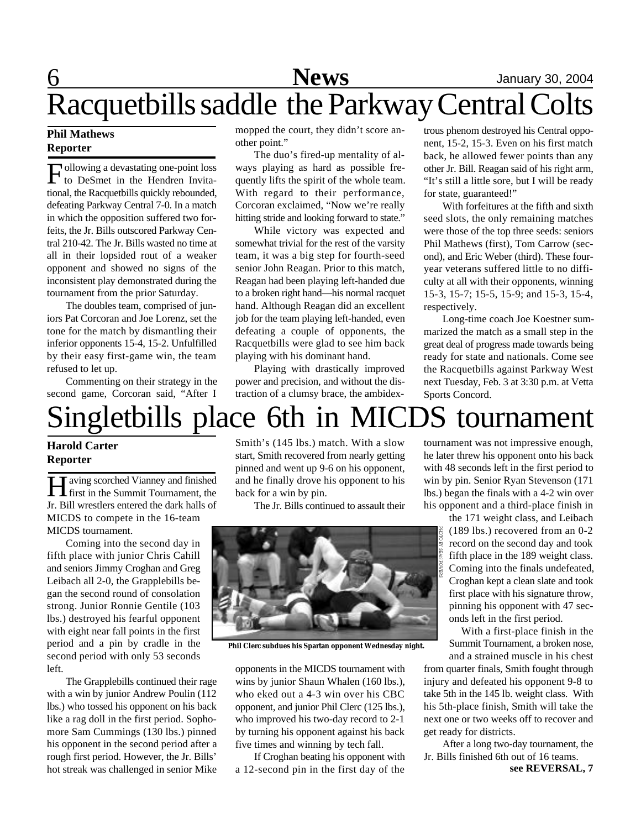# 6 **News** January 30, 2004 Racquetbills saddle the Parkway Central Colts

## **Phil Mathews Reporter**

Following a devastating one-point loss<br>to DeSmet in the Hendren Invitaollowing a devastating one-point loss tional, the Racquetbills quickly rebounded, defeating Parkway Central 7-0. In a match in which the opposition suffered two forfeits, the Jr. Bills outscored Parkway Central 210-42. The Jr. Bills wasted no time at all in their lopsided rout of a weaker opponent and showed no signs of the inconsistent play demonstrated during the tournament from the prior Saturday.

The doubles team, comprised of juniors Pat Corcoran and Joe Lorenz, set the tone for the match by dismantling their inferior opponents 15-4, 15-2. Unfulfilled by their easy first-game win, the team refused to let up.

Commenting on their strategy in the second game, Corcoran said, "After I

mopped the court, they didn't score another point."

The duo's fired-up mentality of always playing as hard as possible frequently lifts the spirit of the whole team. With regard to their performance, Corcoran exclaimed, "Now we're really hitting stride and looking forward to state."

While victory was expected and somewhat trivial for the rest of the varsity team, it was a big step for fourth-seed senior John Reagan. Prior to this match, Reagan had been playing left-handed due to a broken right hand—his normal racquet hand. Although Reagan did an excellent job for the team playing left-handed, even defeating a couple of opponents, the Racquetbills were glad to see him back playing with his dominant hand.

Playing with drastically improved power and precision, and without the distraction of a clumsy brace, the ambidex-

trous phenom destroyed his Central opponent, 15-2, 15-3. Even on his first match back, he allowed fewer points than any other Jr. Bill. Reagan said of his right arm, "It's still a little sore, but I will be ready for state, guaranteed!"

With forfeitures at the fifth and sixth seed slots, the only remaining matches were those of the top three seeds: seniors Phil Mathews (first), Tom Carrow (second), and Eric Weber (third). These fouryear veterans suffered little to no difficulty at all with their opponents, winning 15-3, 15-7; 15-5, 15-9; and 15-3, 15-4, respectively.

Long-time coach Joe Koestner summarized the match as a small step in the great deal of progress made towards being ready for state and nationals. Come see the Racquetbills against Parkway West next Tuesday, Feb. 3 at 3:30 p.m. at Vetta Sports Concord.

# Singletbills place 6th in MICDS tournament

## **Harold Carter Reporter**

**H** aving scorched Vianney and finished first in the Summit Tournament, the aving scorched Vianney and finished Jr. Bill wrestlers entered the dark halls of MICDS to compete in the 16-team MICDS tournament.

Coming into the second day in fifth place with junior Chris Cahill and seniors Jimmy Croghan and Greg Leibach all 2-0, the Grapplebills began the second round of consolation strong. Junior Ronnie Gentile (103 lbs.) destroyed his fearful opponent with eight near fall points in the first period and a pin by cradle in the second period with only 53 seconds left.

The Grapplebills continued their rage with a win by junior Andrew Poulin (112 lbs.) who tossed his opponent on his back like a rag doll in the first period. Sophomore Sam Cummings (130 lbs.) pinned his opponent in the second period after a rough first period. However, the Jr. Bills' hot streak was challenged in senior Mike

Smith's (145 lbs.) match. With a slow start, Smith recovered from nearly getting pinned and went up 9-6 on his opponent, and he finally drove his opponent to his back for a win by pin.

The Jr. Bills continued to assault their



**Phil Clerc subdues his Spartan opponent Wednesday night.**

opponents in the MICDS tournament with wins by junior Shaun Whalen (160 lbs.), who eked out a 4-3 win over his CBC opponent, and junior Phil Clerc (125 lbs.), who improved his two-day record to 2-1 by turning his opponent against his back five times and winning by tech fall.

If Croghan beating his opponent with a 12-second pin in the first day of the tournament was not impressive enough, he later threw his opponent onto his back with 48 seconds left in the first period to win by pin. Senior Ryan Stevenson (171 lbs.) began the finals with a 4-2 win over his opponent and a third-place finish in

the 171 weight class, and Leibach (189 lbs.) recovered from an 0-2 record on the second day and took fifth place in the 189 weight class. Coming into the finals undefeated, Croghan kept a clean slate and took first place with his signature throw, pinning his opponent with 47 seconds left in the first period.

With a first-place finish in the Summit Tournament, a broken nose, and a strained muscle in his chest

from quarter finals, Smith fought through injury and defeated his opponent 9-8 to take 5th in the 145 lb. weight class. With his 5th-place finish, Smith will take the next one or two weeks off to recover and get ready for districts.

**see REVERSAL, 7** After a long two-day tournament, the Jr. Bills finished 6th out of 16 teams.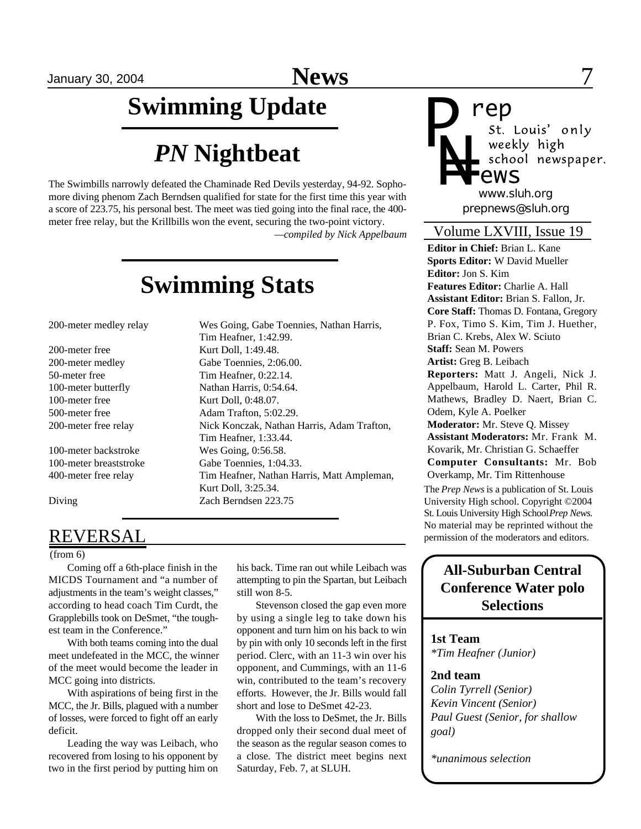# **Swimming Update**

# *PN* **Nightbeat**

The Swimbills narrowly defeated the Chaminade Red Devils yesterday, 94-92. Sophomore diving phenom Zach Berndsen qualified for state for the first time this year with a score of 223.75, his personal best. The meet was tied going into the final race, the 400 meter free relay, but the Krillbills won the event, securing the two-point victory. *—compiled by Nick Appelbaum*

**Swimming Stats**

Tim Heafner, 1:42.99.

Tim Heafner, 1:33.44.

Kurt Doll, 3:25.34.

200-meter medley relay Wes Going, Gabe Toennies, Nathan Harris,

200-meter free Kurt Doll, 1:49.48. 200-meter medley Gabe Toennies, 2:06.00. 50-meter free Tim Heafner, 0:22.14. 100-meter butterfly Nathan Harris, 0:54.64. 100-meter free Kurt Doll, 0:48.07. 500-meter free Adam Trafton, 5:02.29. 200-meter free relay Nick Konczak, Nathan Harris, Adam Trafton,

100-meter backstroke Wes Going, 0:56.58. 100-meter breaststroke Gabe Toennies, 1:04.33. 400-meter free relay Tim Heafner, Nathan Harris, Matt Ampleman,

Diving Zach Berndsen 223.75

# **REVERSAL**

(from 6)

Coming off a 6th-place finish in the MICDS Tournament and "a number of adjustments in the team's weight classes," according to head coach Tim Curdt, the Grapplebills took on DeSmet, "the toughest team in the Conference."

With both teams coming into the dual meet undefeated in the MCC, the winner of the meet would become the leader in MCC going into districts.

With aspirations of being first in the MCC, the Jr. Bills, plagued with a number of losses, were forced to fight off an early deficit.

Leading the way was Leibach, who recovered from losing to his opponent by two in the first period by putting him on

his back. Time ran out while Leibach was attempting to pin the Spartan, but Leibach still won 8-5.

Stevenson closed the gap even more by using a single leg to take down his opponent and turn him on his back to win by pin with only 10 seconds left in the first period. Clerc, with an 11-3 win over his opponent, and Cummings, with an 11-6 win, contributed to the team's recovery efforts. However, the Jr. Bills would fall short and lose to DeSmet 42-23.

With the loss to DeSmet, the Jr. Bills dropped only their second dual meet of the season as the regular season comes to a close. The district meet begins next Saturday, Feb. 7, at SLUH.



**rep**<br>*st. Louis' only* weekly high school newspaper.

*prepnews@sluh.org www.sluh.org*

# Volume LXVIII, Issue 19

**Editor in Chief:** Brian L. Kane **Sports Editor:** W David Mueller **Editor:** Jon S. Kim **Features Editor:** Charlie A. Hall **Assistant Editor:** Brian S. Fallon, Jr. **Core Staff:** Thomas D. Fontana, Gregory P. Fox, Timo S. Kim, Tim J. Huether, Brian C. Krebs, Alex W. Sciuto **Staff:** Sean M. Powers **Artist:** Greg B. Leibach **Reporters:** Matt J. Angeli, Nick J. Appelbaum, Harold L. Carter, Phil R. Mathews, Bradley D. Naert, Brian C. Odem, Kyle A. Poelker **Moderator:** Mr. Steve Q. Missey **Assistant Moderators:** Mr. Frank M.

Kovarik, Mr. Christian G. Schaeffer **Computer Consultants:** Mr. Bob Overkamp, Mr. Tim Rittenhouse

The *Prep News* is a publication of St. Louis University High school. Copyright ©2004 St. Louis University High School *Prep News.* No material may be reprinted without the permission of the moderators and editors.

# **All-Suburban Central Conference Water polo Selections**

**1st Team** *\*Tim Heafner (Junior)*

## **2nd team**

*Colin Tyrrell (Senior) Kevin Vincent (Senior) Paul Guest (Senior, for shallow goal)*

*\*unanimous selection*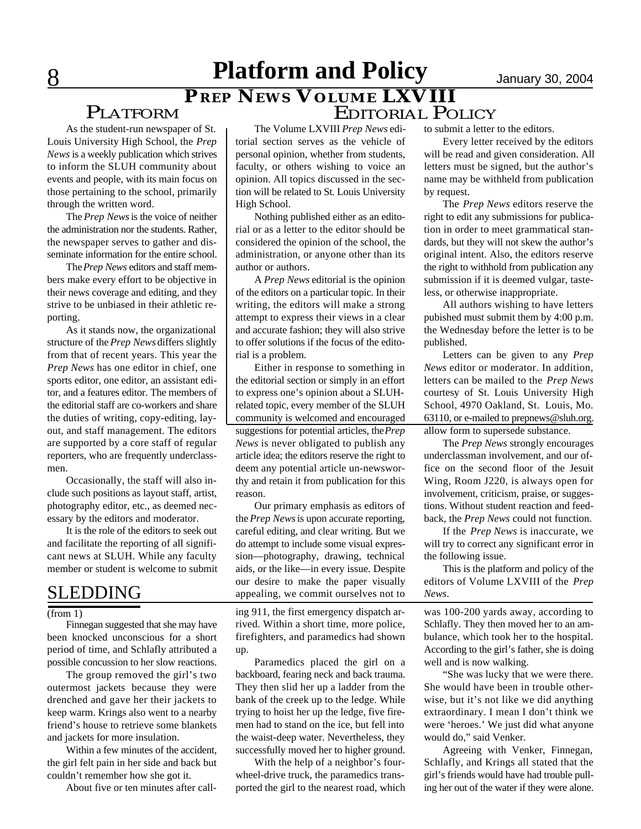# **8** Platform and Policy **Disk Demonstrary 30, 2004** *PREP NEWS* **VOLUME LXVIII**

# PLATFORM

As the student-run newspaper of St. Louis University High School, the *Prep News* is a weekly publication which strives to inform the SLUH community about events and people, with its main focus on those pertaining to the school, primarily through the written word.

The *Prep News* is the voice of neither the administration nor the students. Rather, the newspaper serves to gather and disseminate information for the entire school.

The *Prep News* editors and staff members make every effort to be objective in their news coverage and editing, and they strive to be unbiased in their athletic reporting.

As it stands now, the organizational structure of the *Prep News* differs slightly from that of recent years. This year the *Prep News* has one editor in chief, one sports editor, one editor, an assistant editor, and a features editor. The members of the editorial staff are co-workers and share the duties of writing, copy-editing, layout, and staff management. The editors are supported by a core staff of regular reporters, who are frequently underclassmen.

Occasionally, the staff will also include such positions as layout staff, artist, photography editor, etc., as deemed necessary by the editors and moderator.

It is the role of the editors to seek out and facilitate the reporting of all significant news at SLUH. While any faculty member or student is welcome to submit

# SLEDDING

Finnegan suggested that she may have been knocked unconscious for a short period of time, and Schlafly attributed a possible concussion to her slow reactions.

The group removed the girl's two outermost jackets because they were drenched and gave her their jackets to keep warm. Krings also went to a nearby friend's house to retrieve some blankets and jackets for more insulation.

Within a few minutes of the accident, the girl felt pain in her side and back but couldn't remember how she got it.

About five or ten minutes after call-

The Volume LXVIII *Prep News* editorial section serves as the vehicle of personal opinion, whether from students, faculty, or others wishing to voice an opinion. All topics discussed in the section will be related to St. Louis University High School.

Nothing published either as an editorial or as a letter to the editor should be considered the opinion of the school, the administration, or anyone other than its author or authors.

A *Prep News* editorial is the opinion of the editors on a particular topic. In their writing, the editors will make a strong attempt to express their views in a clear and accurate fashion; they will also strive to offer solutions if the focus of the editorial is a problem.

Either in response to something in the editorial section or simply in an effort to express one's opinion about a SLUHrelated topic, every member of the SLUH community is welcomed and encouraged suggestions for potential articles, the *Prep News* is never obligated to publish any article idea; the editors reserve the right to deem any potential article un-newsworthy and retain it from publication for this reason.

Our primary emphasis as editors of the *Prep News* is upon accurate reporting, careful editing, and clear writing. But we do attempt to include some visual expression—photography, drawing, technical aids, or the like—in every issue. Despite our desire to make the paper visually appealing, we commit ourselves not to

 $($ from 1 $)$  ing 911, the first emergency dispatch arrived. Within a short time, more police, firefighters, and paramedics had shown up.

> Paramedics placed the girl on a backboard, fearing neck and back trauma. They then slid her up a ladder from the bank of the creek up to the ledge. While trying to hoist her up the ledge, five firemen had to stand on the ice, but fell into the waist-deep water. Nevertheless, they successfully moved her to higher ground.

> With the help of a neighbor's fourwheel-drive truck, the paramedics transported the girl to the nearest road, which

to submit a letter to the editors.

EDITORIAL POLICY

Every letter received by the editors will be read and given consideration. All letters must be signed, but the author's name may be withheld from publication by request.

The *Prep News* editors reserve the right to edit any submissions for publication in order to meet grammatical standards, but they will not skew the author's original intent. Also, the editors reserve the right to withhold from publication any submission if it is deemed vulgar, tasteless, or otherwise inappropriate.

All authors wishing to have letters pubished must submit them by 4:00 p.m. the Wednesday before the letter is to be published.

Letters can be given to any *Prep News* editor or moderator. In addition, letters can be mailed to the *Prep News* courtesy of St. Louis University High School, 4970 Oakland, St. Louis, Mo. 63110, or e-mailed to prepnews@sluh.org. allow form to supersede substance.

The *Prep News* strongly encourages underclassman involvement, and our office on the second floor of the Jesuit Wing, Room J220, is always open for involvement, criticism, praise, or suggestions. Without student reaction and feedback, the *Prep News* could not function.

If the *Prep News* is inaccurate, we will try to correct any significant error in the following issue.

This is the platform and policy of the editors of Volume LXVIII of the *Prep News*.

was 100-200 yards away, according to Schlafly. They then moved her to an ambulance, which took her to the hospital. According to the girl's father, she is doing well and is now walking.

"She was lucky that we were there. She would have been in trouble otherwise, but it's not like we did anything extraordinary. I mean I don't think we were 'heroes.' We just did what anyone would do," said Venker.

Agreeing with Venker, Finnegan, Schlafly, and Krings all stated that the girl's friends would have had trouble pulling her out of the water if they were alone.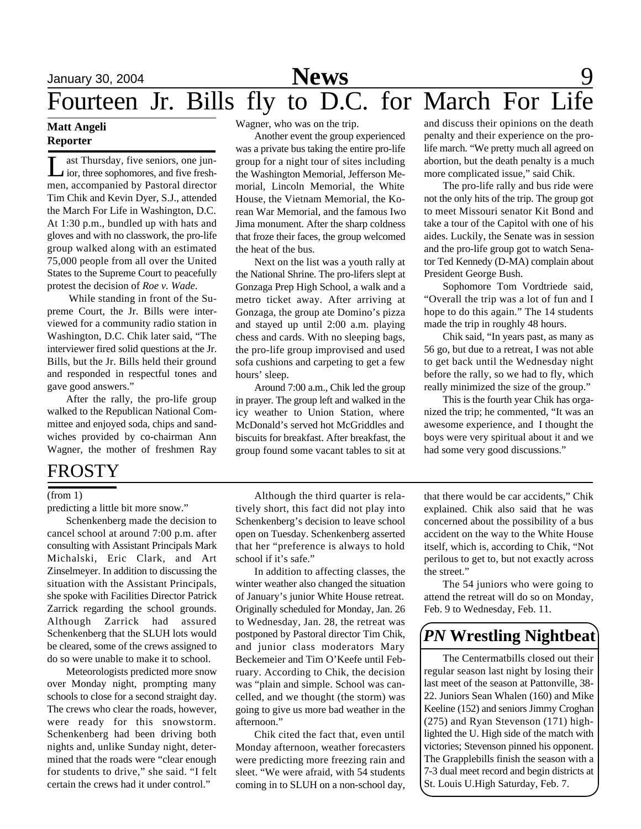## **Matt Angeli Reporter**

Let Thursday, five seniors, one jun-<br>ior, three sophomores, and five freshast Thursday, five seniors, one junmen, accompanied by Pastoral director Tim Chik and Kevin Dyer, S.J., attended the March For Life in Washington, D.C. At 1:30 p.m., bundled up with hats and gloves and with no classwork, the pro-life group walked along with an estimated 75,000 people from all over the United States to the Supreme Court to peacefully protest the decision of *Roe v. Wade*.

 While standing in front of the Supreme Court, the Jr. Bills were interviewed for a community radio station in Washington, D.C. Chik later said, "The interviewer fired solid questions at the Jr. Bills, but the Jr. Bills held their ground and responded in respectful tones and gave good answers."

After the rally, the pro-life group walked to the Republican National Committee and enjoyed soda, chips and sandwiches provided by co-chairman Ann Wagner, the mother of freshmen Ray

# FROSTY

## (from 1)

predicting a little bit more snow."

Schenkenberg made the decision to cancel school at around 7:00 p.m. after consulting with Assistant Principals Mark Michalski, Eric Clark, and Art Zinselmeyer. In addition to discussing the situation with the Assistant Principals, she spoke with Facilities Director Patrick Zarrick regarding the school grounds. Although Zarrick had assured Schenkenberg that the SLUH lots would be cleared, some of the crews assigned to do so were unable to make it to school.

Meteorologists predicted more snow over Monday night, prompting many schools to close for a second straight day. The crews who clear the roads, however, were ready for this snowstorm. Schenkenberg had been driving both nights and, unlike Sunday night, determined that the roads were "clear enough for students to drive," she said. "I felt certain the crews had it under control."

Wagner, who was on the trip.

Another event the group experienced was a private bus taking the entire pro-life group for a night tour of sites including the Washington Memorial, Jefferson Memorial, Lincoln Memorial, the White House, the Vietnam Memorial, the Korean War Memorial, and the famous Iwo Jima monument. After the sharp coldness that froze their faces, the group welcomed the heat of the bus.

Next on the list was a youth rally at the National Shrine. The pro-lifers slept at Gonzaga Prep High School, a walk and a metro ticket away. After arriving at Gonzaga, the group ate Domino's pizza and stayed up until 2:00 a.m. playing chess and cards. With no sleeping bags, the pro-life group improvised and used sofa cushions and carpeting to get a few hours' sleep.

Around 7:00 a.m., Chik led the group in prayer. The group left and walked in the icy weather to Union Station, where McDonald's served hot McGriddles and biscuits for breakfast. After breakfast, the group found some vacant tables to sit at

Although the third quarter is relatively short, this fact did not play into Schenkenberg's decision to leave school open on Tuesday. Schenkenberg asserted that her "preference is always to hold school if it's safe."

In addition to affecting classes, the winter weather also changed the situation of January's junior White House retreat. Originally scheduled for Monday, Jan. 26 to Wednesday, Jan. 28, the retreat was postponed by Pastoral director Tim Chik, and junior class moderators Mary Beckemeier and Tim O'Keefe until February. According to Chik, the decision was "plain and simple. School was cancelled, and we thought (the storm) was going to give us more bad weather in the afternoon."

Chik cited the fact that, even until Monday afternoon, weather forecasters were predicting more freezing rain and sleet. "We were afraid, with 54 students coming in to SLUH on a non-school day,

and discuss their opinions on the death penalty and their experience on the prolife march. "We pretty much all agreed on abortion, but the death penalty is a much more complicated issue," said Chik.

The pro-life rally and bus ride were not the only hits of the trip. The group got to meet Missouri senator Kit Bond and take a tour of the Capitol with one of his aides. Luckily, the Senate was in session and the pro-life group got to watch Senator Ted Kennedy (D-MA) complain about President George Bush.

Sophomore Tom Vordtriede said, "Overall the trip was a lot of fun and I hope to do this again." The 14 students made the trip in roughly 48 hours.

Chik said, "In years past, as many as 56 go, but due to a retreat, I was not able to get back until the Wednesday night before the rally, so we had to fly, which really minimized the size of the group."

This is the fourth year Chik has organized the trip; he commented, "It was an awesome experience, and I thought the boys were very spiritual about it and we had some very good discussions."

that there would be car accidents," Chik explained. Chik also said that he was concerned about the possibility of a bus accident on the way to the White House itself, which is, according to Chik, "Not perilous to get to, but not exactly across the street."

The 54 juniors who were going to attend the retreat will do so on Monday, Feb. 9 to Wednesday, Feb. 11.

# *PN* **Wrestling Nightbeat**

The Centermatbills closed out their regular season last night by losing their last meet of the season at Pattonville, 38- 22. Juniors Sean Whalen (160) and Mike Keeline (152) and seniors Jimmy Croghan (275) and Ryan Stevenson (171) highlighted the U. High side of the match with victories; Stevenson pinned his opponent. The Grapplebills finish the season with a 7-3 dual meet record and begin districts at St. Louis U.High Saturday, Feb. 7.